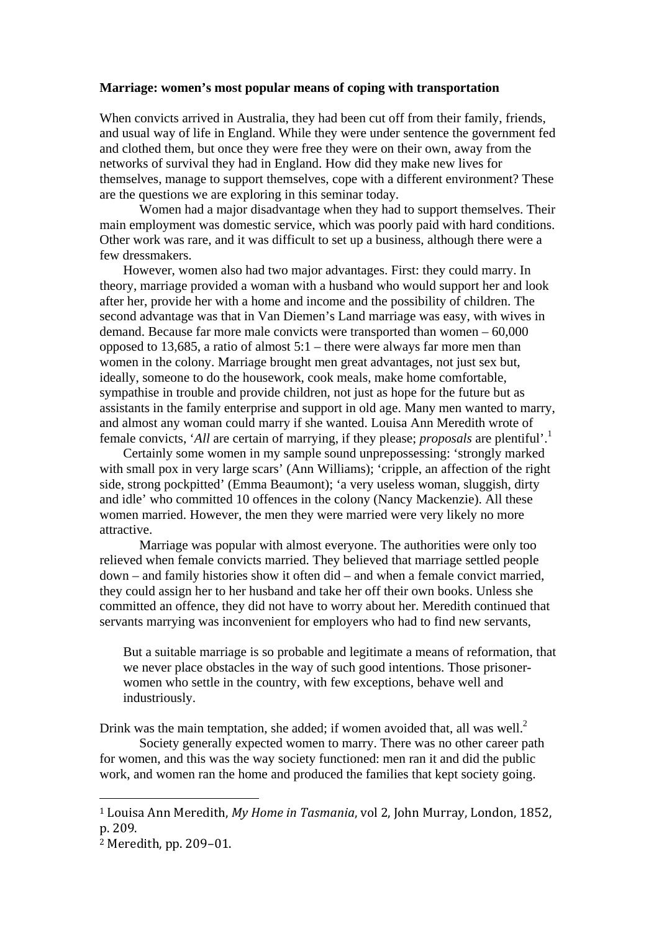## **Marriage: women's most popular means of coping with transportation**

When convicts arrived in Australia, they had been cut off from their family, friends, and usual way of life in England. While they were under sentence the government fed and clothed them, but once they were free they were on their own, away from the networks of survival they had in England. How did they make new lives for themselves, manage to support themselves, cope with a different environment? These are the questions we are exploring in this seminar today.

 Women had a major disadvantage when they had to support themselves. Their main employment was domestic service, which was poorly paid with hard conditions. Other work was rare, and it was difficult to set up a business, although there were a few dressmakers.

However, women also had two major advantages. First: they could marry. In theory, marriage provided a woman with a husband who would support her and look after her, provide her with a home and income and the possibility of children. The second advantage was that in Van Diemen's Land marriage was easy, with wives in demand. Because far more male convicts were transported than women – 60,000 opposed to 13,685, a ratio of almost 5:1 – there were always far more men than women in the colony. Marriage brought men great advantages, not just sex but, ideally, someone to do the housework, cook meals, make home comfortable, sympathise in trouble and provide children, not just as hope for the future but as assistants in the family enterprise and support in old age. Many men wanted to marry, and almost any woman could marry if she wanted. Louisa Ann Meredith wrote of female convicts, '*All* are certain of marrying, if they please; *proposals* are plentiful'.1

Certainly some women in my sample sound unprepossessing: 'strongly marked with small pox in very large scars' (Ann Williams); 'cripple, an affection of the right side, strong pockpitted' (Emma Beaumont); 'a very useless woman, sluggish, dirty and idle' who committed 10 offences in the colony (Nancy Mackenzie). All these women married. However, the men they were married were very likely no more attractive.

Marriage was popular with almost everyone. The authorities were only too relieved when female convicts married. They believed that marriage settled people down – and family histories show it often did – and when a female convict married, they could assign her to her husband and take her off their own books. Unless she committed an offence, they did not have to worry about her. Meredith continued that servants marrying was inconvenient for employers who had to find new servants,

But a suitable marriage is so probable and legitimate a means of reformation, that we never place obstacles in the way of such good intentions. Those prisonerwomen who settle in the country, with few exceptions, behave well and industriously.

Drink was the main temptation, she added; if women avoided that, all was well. $^2$ 

Society generally expected women to marry. There was no other career path for women, and this was the way society functioned: men ran it and did the public work, and women ran the home and produced the families that kept society going.

<sup>&</sup>lt;sup>1</sup> Louisa Ann Meredith, *My Home in Tasmania*, vol 2, John Murray, London, 1852, p. 209. 

 $2$  Meredith, pp. 209-01.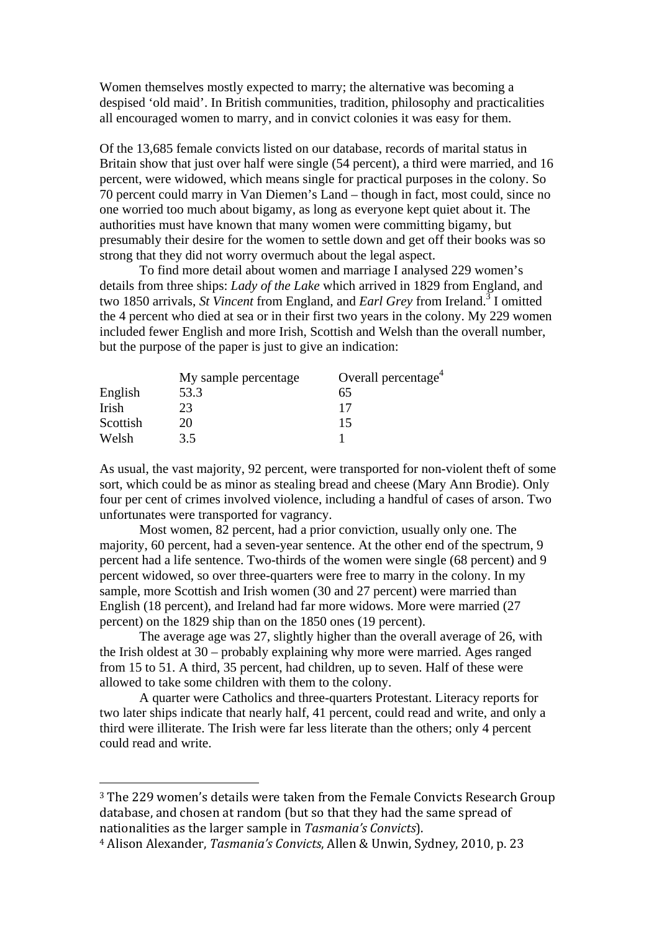Women themselves mostly expected to marry; the alternative was becoming a despised 'old maid'. In British communities, tradition, philosophy and practicalities all encouraged women to marry, and in convict colonies it was easy for them.

Of the 13,685 female convicts listed on our database, records of marital status in Britain show that just over half were single (54 percent), a third were married, and 16 percent, were widowed, which means single for practical purposes in the colony. So 70 percent could marry in Van Diemen's Land – though in fact, most could, since no one worried too much about bigamy, as long as everyone kept quiet about it. The authorities must have known that many women were committing bigamy, but presumably their desire for the women to settle down and get off their books was so strong that they did not worry overmuch about the legal aspect.

To find more detail about women and marriage I analysed 229 women's details from three ships: *Lady of the Lake* which arrived in 1829 from England, and two 1850 arrivals, *St Vincent* from England, and *Earl Grey* from Ireland.<sup>3</sup> I omitted the 4 percent who died at sea or in their first two years in the colony. My 229 women included fewer English and more Irish, Scottish and Welsh than the overall number, but the purpose of the paper is just to give an indication:

|          | My sample percentage | Overall percentage <sup>4</sup> |
|----------|----------------------|---------------------------------|
| English  | 53.3                 | 65                              |
| Irish    | 23                   |                                 |
| Scottish | 20                   | 15                              |
| Welsh    | 3.5                  |                                 |

As usual, the vast majority, 92 percent, were transported for non-violent theft of some sort, which could be as minor as stealing bread and cheese (Mary Ann Brodie). Only four per cent of crimes involved violence, including a handful of cases of arson. Two unfortunates were transported for vagrancy.

 Most women, 82 percent, had a prior conviction, usually only one. The majority, 60 percent, had a seven-year sentence. At the other end of the spectrum, 9 percent had a life sentence. Two-thirds of the women were single (68 percent) and 9 percent widowed, so over three-quarters were free to marry in the colony. In my sample, more Scottish and Irish women (30 and 27 percent) were married than English (18 percent), and Ireland had far more widows. More were married (27 percent) on the 1829 ship than on the 1850 ones (19 percent).

 The average age was 27, slightly higher than the overall average of 26, with the Irish oldest at 30 – probably explaining why more were married. Ages ranged from 15 to 51. A third, 35 percent, had children, up to seven. Half of these were allowed to take some children with them to the colony.

A quarter were Catholics and three-quarters Protestant. Literacy reports for two later ships indicate that nearly half, 41 percent, could read and write, and only a third were illiterate. The Irish were far less literate than the others; only 4 percent could read and write.

<sup>&</sup>lt;sup>3</sup> The 229 women's details were taken from the Female Convicts Research Group database, and chosen at random (but so that they had the same spread of nationalities as the larger sample in *Tasmania's Convicts*).

<sup>&</sup>lt;sup>4</sup> Alison Alexander, *Tasmania's Convicts*, Allen & Unwin, Sydney, 2010, p. 23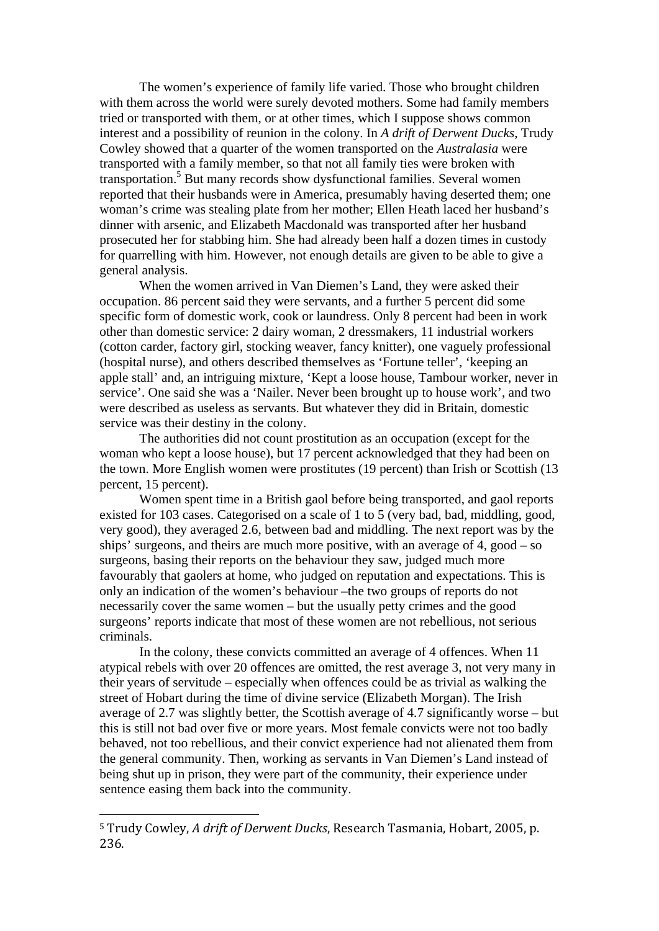The women's experience of family life varied. Those who brought children with them across the world were surely devoted mothers. Some had family members tried or transported with them, or at other times, which I suppose shows common interest and a possibility of reunion in the colony. In *A drift of Derwent Ducks*, Trudy Cowley showed that a quarter of the women transported on the *Australasia* were transported with a family member, so that not all family ties were broken with transportation.<sup>5</sup> But many records show dysfunctional families. Several women reported that their husbands were in America, presumably having deserted them; one woman's crime was stealing plate from her mother; Ellen Heath laced her husband's dinner with arsenic, and Elizabeth Macdonald was transported after her husband prosecuted her for stabbing him. She had already been half a dozen times in custody for quarrelling with him. However, not enough details are given to be able to give a general analysis.

When the women arrived in Van Diemen's Land, they were asked their occupation. 86 percent said they were servants, and a further 5 percent did some specific form of domestic work, cook or laundress. Only 8 percent had been in work other than domestic service: 2 dairy woman, 2 dressmakers, 11 industrial workers (cotton carder, factory girl, stocking weaver, fancy knitter), one vaguely professional (hospital nurse), and others described themselves as 'Fortune teller', 'keeping an apple stall' and, an intriguing mixture, 'Kept a loose house, Tambour worker, never in service'. One said she was a 'Nailer. Never been brought up to house work', and two were described as useless as servants. But whatever they did in Britain, domestic service was their destiny in the colony.

The authorities did not count prostitution as an occupation (except for the woman who kept a loose house), but 17 percent acknowledged that they had been on the town. More English women were prostitutes (19 percent) than Irish or Scottish (13 percent, 15 percent).

Women spent time in a British gaol before being transported, and gaol reports existed for 103 cases. Categorised on a scale of 1 to 5 (very bad, bad, middling, good, very good), they averaged 2.6, between bad and middling. The next report was by the ships' surgeons, and theirs are much more positive, with an average of 4, good – so surgeons, basing their reports on the behaviour they saw, judged much more favourably that gaolers at home, who judged on reputation and expectations. This is only an indication of the women's behaviour –the two groups of reports do not necessarily cover the same women – but the usually petty crimes and the good surgeons' reports indicate that most of these women are not rebellious, not serious criminals.

 In the colony, these convicts committed an average of 4 offences. When 11 atypical rebels with over 20 offences are omitted, the rest average 3, not very many in their years of servitude – especially when offences could be as trivial as walking the street of Hobart during the time of divine service (Elizabeth Morgan). The Irish average of 2.7 was slightly better, the Scottish average of 4.7 significantly worse – but this is still not bad over five or more years. Most female convicts were not too badly behaved, not too rebellious, and their convict experience had not alienated them from the general community. Then, working as servants in Van Diemen's Land instead of being shut up in prison, they were part of the community, their experience under sentence easing them back into the community.

<sup>5</sup> Trudy Cowley, *A drift of Derwent Ducks*, Research Tasmania, Hobart, 2005, p. 236.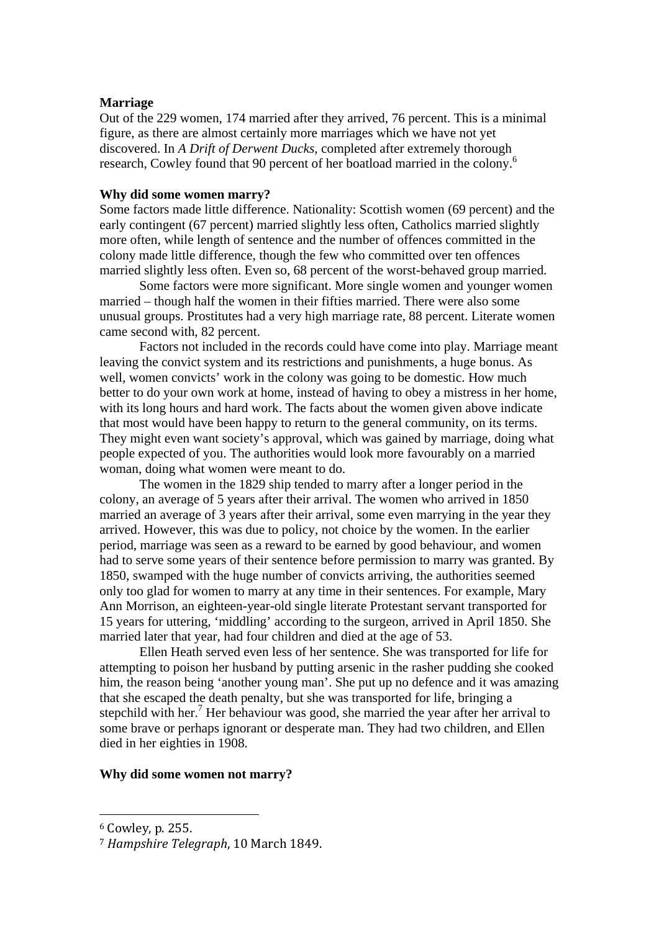# **Marriage**

Out of the 229 women, 174 married after they arrived, 76 percent. This is a minimal figure, as there are almost certainly more marriages which we have not yet discovered. In *A Drift of Derwent Ducks*, completed after extremely thorough research, Cowley found that 90 percent of her boatload married in the colony.6

## **Why did some women marry?**

Some factors made little difference. Nationality: Scottish women (69 percent) and the early contingent (67 percent) married slightly less often, Catholics married slightly more often, while length of sentence and the number of offences committed in the colony made little difference, though the few who committed over ten offences married slightly less often. Even so, 68 percent of the worst-behaved group married.

 Some factors were more significant. More single women and younger women married – though half the women in their fifties married. There were also some unusual groups. Prostitutes had a very high marriage rate, 88 percent. Literate women came second with, 82 percent.

 Factors not included in the records could have come into play. Marriage meant leaving the convict system and its restrictions and punishments, a huge bonus. As well, women convicts' work in the colony was going to be domestic. How much better to do your own work at home, instead of having to obey a mistress in her home, with its long hours and hard work. The facts about the women given above indicate that most would have been happy to return to the general community, on its terms. They might even want society's approval, which was gained by marriage, doing what people expected of you. The authorities would look more favourably on a married woman, doing what women were meant to do.

The women in the 1829 ship tended to marry after a longer period in the colony, an average of 5 years after their arrival. The women who arrived in 1850 married an average of 3 years after their arrival, some even marrying in the year they arrived. However, this was due to policy, not choice by the women. In the earlier period, marriage was seen as a reward to be earned by good behaviour, and women had to serve some years of their sentence before permission to marry was granted. By 1850, swamped with the huge number of convicts arriving, the authorities seemed only too glad for women to marry at any time in their sentences. For example, Mary Ann Morrison, an eighteen-year-old single literate Protestant servant transported for 15 years for uttering, 'middling' according to the surgeon, arrived in April 1850. She married later that year, had four children and died at the age of 53.

Ellen Heath served even less of her sentence. She was transported for life for attempting to poison her husband by putting arsenic in the rasher pudding she cooked him, the reason being 'another young man'. She put up no defence and it was amazing that she escaped the death penalty, but she was transported for life, bringing a stepchild with her.<sup>7</sup> Her behaviour was good, she married the year after her arrival to some brave or perhaps ignorant or desperate man. They had two children, and Ellen died in her eighties in 1908.

### **Why did some women not marry?**

 $6$  Cowley, p. 255.

<sup>&</sup>lt;sup>7</sup> Hampshire Telearaph, 10 March 1849.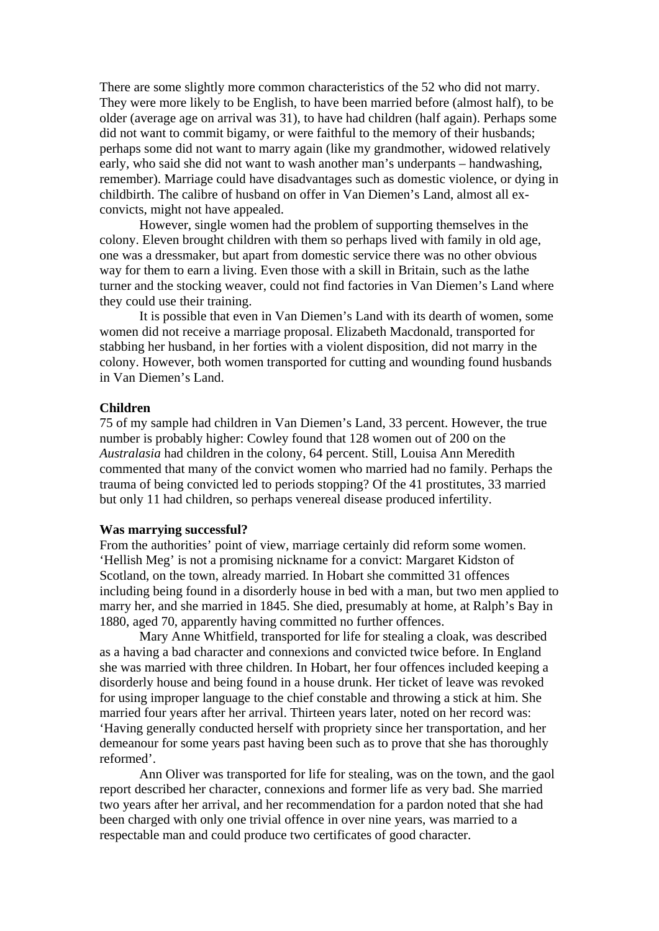There are some slightly more common characteristics of the 52 who did not marry. They were more likely to be English, to have been married before (almost half), to be older (average age on arrival was 31), to have had children (half again). Perhaps some did not want to commit bigamy, or were faithful to the memory of their husbands; perhaps some did not want to marry again (like my grandmother, widowed relatively early, who said she did not want to wash another man's underpants – handwashing, remember). Marriage could have disadvantages such as domestic violence, or dying in childbirth. The calibre of husband on offer in Van Diemen's Land, almost all exconvicts, might not have appealed.

However, single women had the problem of supporting themselves in the colony. Eleven brought children with them so perhaps lived with family in old age, one was a dressmaker, but apart from domestic service there was no other obvious way for them to earn a living. Even those with a skill in Britain, such as the lathe turner and the stocking weaver, could not find factories in Van Diemen's Land where they could use their training.

It is possible that even in Van Diemen's Land with its dearth of women, some women did not receive a marriage proposal. Elizabeth Macdonald, transported for stabbing her husband, in her forties with a violent disposition, did not marry in the colony. However, both women transported for cutting and wounding found husbands in Van Diemen's Land.

# **Children**

75 of my sample had children in Van Diemen's Land, 33 percent. However, the true number is probably higher: Cowley found that 128 women out of 200 on the *Australasia* had children in the colony, 64 percent. Still, Louisa Ann Meredith commented that many of the convict women who married had no family. Perhaps the trauma of being convicted led to periods stopping? Of the 41 prostitutes, 33 married but only 11 had children, so perhaps venereal disease produced infertility.

## **Was marrying successful?**

From the authorities' point of view, marriage certainly did reform some women. 'Hellish Meg' is not a promising nickname for a convict: Margaret Kidston of Scotland, on the town, already married. In Hobart she committed 31 offences including being found in a disorderly house in bed with a man, but two men applied to marry her, and she married in 1845. She died, presumably at home, at Ralph's Bay in 1880, aged 70, apparently having committed no further offences.

 Mary Anne Whitfield, transported for life for stealing a cloak, was described as a having a bad character and connexions and convicted twice before. In England she was married with three children. In Hobart, her four offences included keeping a disorderly house and being found in a house drunk. Her ticket of leave was revoked for using improper language to the chief constable and throwing a stick at him. She married four years after her arrival. Thirteen years later, noted on her record was: 'Having generally conducted herself with propriety since her transportation, and her demeanour for some years past having been such as to prove that she has thoroughly reformed'.

 Ann Oliver was transported for life for stealing, was on the town, and the gaol report described her character, connexions and former life as very bad. She married two years after her arrival, and her recommendation for a pardon noted that she had been charged with only one trivial offence in over nine years, was married to a respectable man and could produce two certificates of good character.